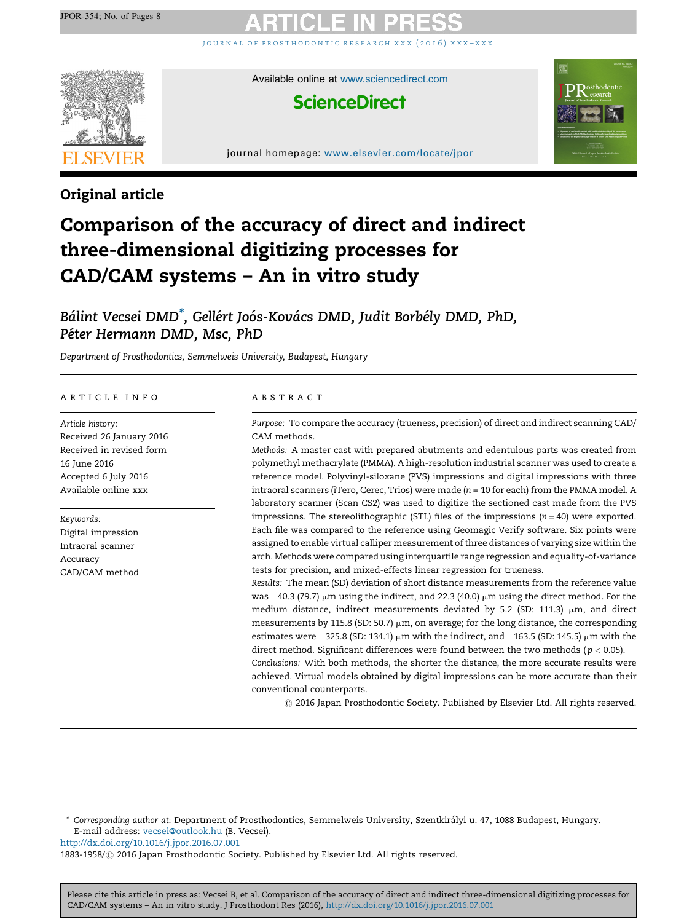j o u r n a l o f p r o s t h o d o [n](http://dx.doi.org/10.1016/j.jpor.2016.07.001) t i c r e s e a r c h x x x ( 2 0 1 6 ) x x x – x x x



Available online at [www.sciencedirect.com](http://www.sciencedirect.com/science/journal/18831958)

# **ScienceDirect**



journal homepage: <www.elsevier.com/locate/jpor>

# Original article

# Comparison of the accuracy of direct and indirect three-dimensional digitizing processes for CAD/CAM systems – An in vitro study

Bálint Vecsei DMD<sup>\*</sup>, Gellért Joós-Kovács DMD, Judit Borbély DMD, PhD, Péter Hermann DMD, Msc, PhD

Department of Prosthodontics, Semmelweis University, Budapest, Hungary

### a r t i c l e i n f o

Article history: Received 26 January 2016 Received in revised form 16 June 2016 Accepted 6 July 2016 Available online xxx

Keywords: Digital impression Intraoral scanner Accuracy CAD/CAM method

#### a b s t r a c t

Purpose: To compare the accuracy (trueness, precision) of direct and indirect scanning CAD/ CAM methods.

Methods: A master cast with prepared abutments and edentulous parts was created from polymethyl methacrylate (PMMA). A high-resolution industrial scanner was used to create a reference model. Polyvinyl-siloxane (PVS) impressions and digital impressions with three intraoral scanners (iTero, Cerec, Trios) were made ( $n = 10$  for each) from the PMMA model. A laboratory scanner (Scan CS2) was used to digitize the sectioned cast made from the PVS impressions. The stereolithographic (STL) files of the impressions  $(n = 40)$  were exported. Each file was compared to the reference using Geomagic Verify software. Six points were assigned to enable virtual calliper measurement of three distances of varying size within the arch. Methods were compared using interquartile range regression and equality-of-variance tests for precision, and mixed-effects linear regression for trueness.

Results: The mean (SD) deviation of short distance measurements from the reference value was  $-40.3$  (79.7) µm using the indirect, and 22.3 (40.0) µm using the direct method. For the medium distance, indirect measurements deviated by 5.2 (SD: 111.3)  $\mu$ m, and direct measurements by 115.8 (SD: 50.7)  $\mu$ m, on average; for the long distance, the corresponding estimates were  $-325.8$  (SD: 134.1)  $\mu$ m with the indirect, and  $-163.5$  (SD: 145.5)  $\mu$ m with the direct method. Significant differences were found between the two methods ( $p < 0.05$ ). Conclusions: With both methods, the shorter the distance, the more accurate results were

achieved. Virtual models obtained by digital impressions can be more accurate than their conventional counterparts.

 $\odot$  2016 Japan Prosthodontic Society. Published by Elsevier Ltd. All rights reserved.

\* Corresponding author at: Department of Prosthodontics, Semmelweis University, Szentkira´lyi u. 47, 1088 Budapest, Hungary. E-mail address: [vecsei@outlook.hu](mailto:vecsei@outlook.hu) (B. Vecsei).

<http://dx.doi.org/10.1016/j.jpor.2016.07.001>

1883-1958/ 2016 Japan Prosthodontic Society. Published by Elsevier Ltd. All rights reserved.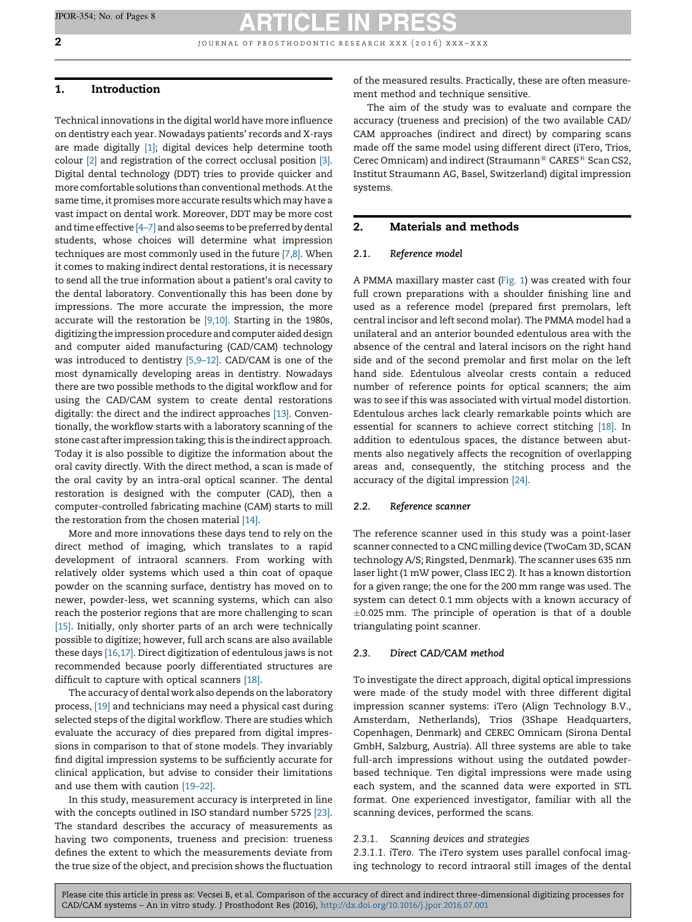**2 j** our nat of prosthodontic research xxx (2016)  $x x x - x x x$ 

## 1. Introduction

Technical innovations in the digital world have more influence on dentistry each year. Nowadays patients' records and X-rays are made digitally [\[1\];](#page-6-0) digital devices help determine tooth colour [\[2\]](#page-6-0) and registration of the correct occlusal position [\[3\]](#page-6-0). Digital dental technology (DDT) tries to provide quicker and more comfortable solutions than conventional methods. Atthe same time, it promises more accurate results which may have a vast impact on dental work. Moreover, DDT may be more cost and time effective  $[4–7]$  and also seems to be preferred by dental students, whose choices will determine what impression techniques are most commonly used in the future [\[7,8\].](#page-6-0) When it comes to making indirect dental restorations, it is necessary to send all the true information about a patient's oral cavity to the dental laboratory. Conventionally this has been done by impressions. The more accurate the impression, the more accurate will the restoration be [\[9,10\].](#page-6-0) Starting in the 1980s, digitizing the impression procedure and computer aided design and computer aided manufacturing (CAD/CAM) technology was introduced to dentistry [\[5,9–12\]](#page-6-0). CAD/CAM is one of the most dynamically developing areas in dentistry. Nowadays there are two possible methods to the digital workflow and for using the CAD/CAM system to create dental restorations digitally: the direct and the indirect approaches [\[13\].](#page-6-0) Conventionally, the workflow starts with a laboratory scanning of the stone cast after impression taking; this is the indirect approach. Today it is also possible to digitize the information about the oral cavity directly. With the direct method, a scan is made of the oral cavity by an intra-oral optical scanner. The dental restoration is designed with the computer (CAD), then a computer-controlled fabricating machine (CAM) starts to mill the restoration from the chosen material [\[14\]](#page-6-0).

More and more innovations these days tend to rely on the direct method of imaging, which translates to a rapid development of intraoral scanners. From working with relatively older systems which used a thin coat of opaque powder on the scanning surface, dentistry has moved on to newer, powder-less, wet scanning systems, which can also reach the posterior regions that are more challenging to scan [\[15\]](#page-6-0). Initially, only shorter parts of an arch were technically possible to digitize; however, full arch scans are also available these days [\[16,17\].](#page-6-0) Direct digitization of edentulous jaws is not recommended because poorly differentiated structures are difficult to capture with optical scanners [\[18\].](#page-6-0)

The accuracy of dental work also depends on the laboratory process, [\[19\]](#page-6-0) and technicians may need a physical cast during selected steps of the digital workflow. There are studies which evaluate the accuracy of dies prepared from digital impressions in comparison to that of stone models. They invariably find digital impression systems to be sufficiently accurate for clinical application, but advise to consider their limitations and use them with caution [\[19–22\]](#page-6-0).

In this study, measurement accuracy is interpreted in line with the concepts outlined in ISO standard number 5725 [\[23\]](#page-6-0). The standard describes the accuracy of measurements as having two components, trueness and precision: trueness defines the extent to which the measurements deviate from the true size of the object, and precision shows the fluctuation

of the measured results. Practically, these are often measurement method and technique sensitive.

The aim of the study was to evaluate and compare the accuracy (trueness and precision) of the two available CAD/ CAM approaches (indirect and direct) by comparing scans made off the same model using different direct (iTero, Trios, Cerec Omnicam) and indirect (Straumann $^{\circledR}$  CARES $^{\circledR}$  Scan CS2, Institut Straumann AG, Basel, Switzerland) digital impression systems.

### 2. Materials and methods

### 2.1. Reference model

A PMMA maxillary master cast [\(Fig.](#page-2-0) 1) was created with four full crown preparations with a shoulder finishing line and used as a reference model (prepared first premolars, left central incisor and left second molar). The PMMA model had a unilateral and an anterior bounded edentulous area with the absence of the central and lateral incisors on the right hand side and of the second premolar and first molar on the left hand side. Edentulous alveolar crests contain a reduced number of reference points for optical scanners; the aim was to see if this was associated with virtual model distortion. Edentulous arches lack clearly remarkable points which are essential for scanners to achieve correct stitching [\[18\].](#page-6-0) In addition to edentulous spaces, the distance between abutments also negatively affects the recognition of overlapping areas and, consequently, the stitching process and the accuracy of the digital impression [\[24\]](#page-6-0).

### 2.2. Reference scanner

The reference scanner used in this study was a point-laser scanner connected to a CNC milling device (TwoCam 3D, SCAN technology A/S; Ringsted, Denmark). The scanner uses 635 nm laser light (1 mW power, Class IEC 2). It has a known distortion for a given range; the one for the 200 mm range was used. The system can detect 0.1 mm objects with a known accuracy of  $\pm$ 0.025 mm. The principle of operation is that of a double triangulating point scanner.

### 2.3. Direct CAD/CAM method

To investigate the direct approach, digital optical impressions were made of the study model with three different digital impression scanner systems: iTero (Align Technology B.V., Amsterdam, Netherlands), Trios (3Shape Headquarters, Copenhagen, Denmark) and CEREC Omnicam (Sirona Dental GmbH, Salzburg, Austria). All three systems are able to take full-arch impressions without using the outdated powderbased technique. Ten digital impressions were made using each system, and the scanned data were exported in STL format. One experienced investigator, familiar with all the scanning devices, performed the scans.

### 2.3.1. Scanning devices and strategies

2.3.1.1. iTero. The iTero system uses parallel confocal imaging technology to record intraoral still images of the dental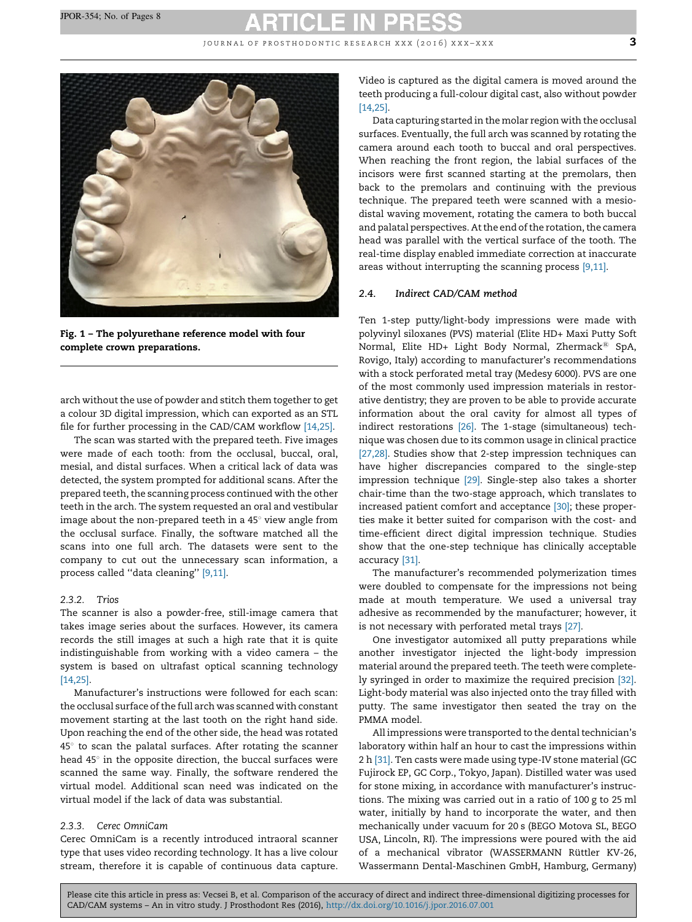JOURNAL OF PROSTHODONTIC RESEARCH XXX  $(2016)$  XXX-XXX  $3$ 

<span id="page-2-0"></span>

Fig. 1 – The polyurethane reference model with four complete crown preparations.

arch without the use of powder and stitch them together to get a colour 3D digital impression, which can exported as an STL file for further processing in the CAD/CAM workflow [\[14,25\]](#page-6-0).

The scan was started with the prepared teeth. Five images were made of each tooth: from the occlusal, buccal, oral, mesial, and distal surfaces. When a critical lack of data was detected, the system prompted for additional scans. After the prepared teeth, the scanning process continued with the other teeth in the arch. The system requested an oral and vestibular image about the non-prepared teeth in a  $45^\circ$  view angle from the occlusal surface. Finally, the software matched all the scans into one full arch. The datasets were sent to the company to cut out the unnecessary scan information, a process called ''data cleaning'' [\[9,11\].](#page-6-0)

#### 2.3.2. Trios

The scanner is also a powder-free, still-image camera that takes image series about the surfaces. However, its camera records the still images at such a high rate that it is quite indistinguishable from working with a video camera – the system is based on ultrafast optical scanning technology [\[14,25\].](#page-6-0)

Manufacturer's instructions were followed for each scan: the occlusal surface of the full arch was scanned with constant movement starting at the last tooth on the right hand side. Upon reaching the end of the other side, the head was rotated  $45^\circ$  to scan the palatal surfaces. After rotating the scanner head  $45^\circ$  in the opposite direction, the buccal surfaces were scanned the same way. Finally, the software rendered the virtual model. Additional scan need was indicated on the virtual model if the lack of data was substantial.

#### 2.3.3. Cerec OmniCam

Cerec OmniCam is a recently introduced intraoral scanner type that uses video recording technology. It has a live colour stream, therefore it is capable of continuous data capture. Video is captured as the digital camera is moved around the teeth producing a full-colour digital cast, also without powder [\[14,25\].](#page-6-0)

Data capturing started in the molar region with the occlusal surfaces. Eventually, the full arch was scanned by rotating the camera around each tooth to buccal and oral perspectives. When reaching the front region, the labial surfaces of the incisors were first scanned starting at the premolars, then back to the premolars and continuing with the previous technique. The prepared teeth were scanned with a mesiodistal waving movement, rotating the camera to both buccal and palatal perspectives. At the end of the rotation, the camera head was parallel with the vertical surface of the tooth. The real-time display enabled immediate correction at inaccurate areas without interrupting the scanning process [\[9,11\].](#page-6-0)

#### 2.4. Indirect CAD/CAM method

Ten 1-step putty/light-body impressions were made with polyvinyl siloxanes (PVS) material (Elite HD+ Maxi Putty Soft Normal, Elite HD+ Light Body Normal, Zhermack<sup>®</sup> SpA, Rovigo, Italy) according to manufacturer's recommendations with a stock perforated metal tray (Medesy 6000). PVS are one of the most commonly used impression materials in restorative dentistry; they are proven to be able to provide accurate information about the oral cavity for almost all types of indirect restorations [\[26\]](#page-6-0). The 1-stage (simultaneous) technique was chosen due to its common usage in clinical practice [\[27,28\].](#page-6-0) Studies show that 2-step impression techniques can have higher discrepancies compared to the single-step impression technique [\[29\]](#page-6-0). Single-step also takes a shorter chair-time than the two-stage approach, which translates to increased patient comfort and acceptance [\[30\]](#page-6-0); these properties make it better suited for comparison with the cost- and time-efficient direct digital impression technique. Studies show that the one-step technique has clinically acceptable accuracy [\[31\].](#page-6-0)

The manufacturer's recommended polymerization times were doubled to compensate for the impressions not being made at mouth temperature. We used a universal tray adhesive as recommended by the manufacturer; however, it is not necessary with perforated metal trays [\[27\]](#page-6-0).

One investigator automixed all putty preparations while another investigator injected the light-body impression material around the prepared teeth. The teeth were completely syringed in order to maximize the required precision [\[32\].](#page-6-0) Light-body material was also injected onto the tray filled with putty. The same investigator then seated the tray on the PMMA model.

All impressions were transported to the dental technician's laboratory within half an hour to cast the impressions within 2 h [\[31\]](#page-6-0). Ten casts were made using type-IV stone material (GC Fujirock EP, GC Corp., Tokyo, Japan). Distilled water was used for stone mixing, in accordance with manufacturer's instructions. The mixing was carried out in a ratio of 100 g to 25 ml water, initially by hand to incorporate the water, and then mechanically under vacuum for 20 s (BEGO Motova SL, BEGO USA, Lincoln, RI). The impressions were poured with the aid of a mechanical vibrator (WASSERMANN Rüttler KV-26, Wassermann Dental-Maschinen GmbH, Hamburg, Germany)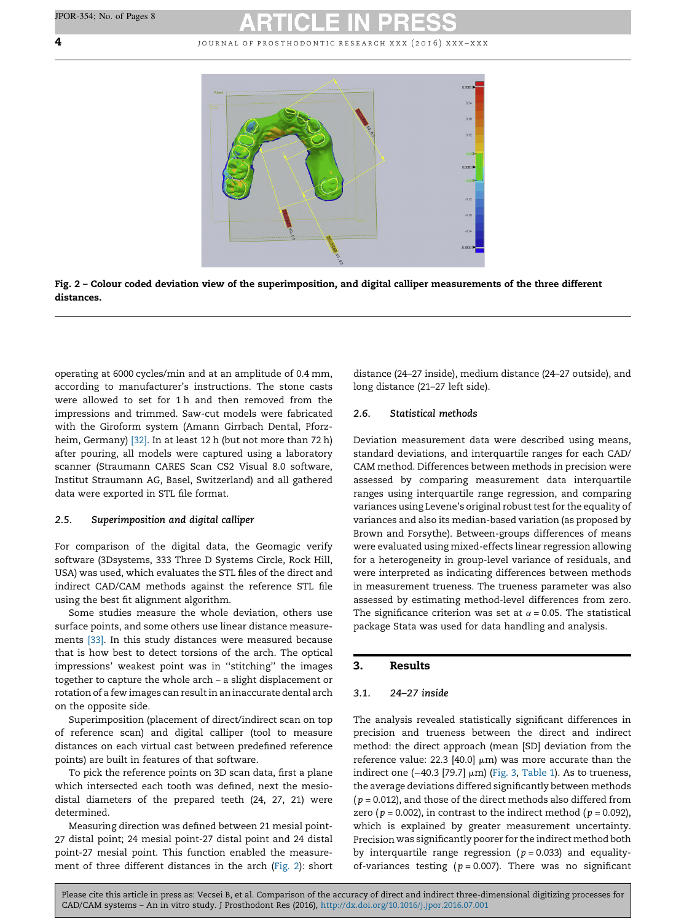**4 d d**  $\boldsymbol{\mu}$  is the set of pROSTHODONTIC RESEARCH XXX (2016) XXX-XXX





operating at 6000 cycles/min and at an amplitude of 0.4 mm, according to manufacturer's instructions. The stone casts were allowed to set for 1 h and then removed from the impressions and trimmed. Saw-cut models were fabricated with the Giroform system (Amann Girrbach Dental, Pforzheim, Germany) [\[32\].](#page-6-0) In at least 12 h (but not more than 72 h) after pouring, all models were captured using a laboratory scanner (Straumann CARES Scan CS2 Visual 8.0 software, Institut Straumann AG, Basel, Switzerland) and all gathered data were exported in STL file format.

#### 2.5. Superimposition and digital calliper

For comparison of the digital data, the Geomagic verify software (3Dsystems, 333 Three D Systems Circle, Rock Hill, USA) was used, which evaluates the STL files of the direct and indirect CAD/CAM methods against the reference STL file using the best fit alignment algorithm.

Some studies measure the whole deviation, others use surface points, and some others use linear distance measurements [\[33\]](#page-7-0). In this study distances were measured because that is how best to detect torsions of the arch. The optical impressions' weakest point was in ''stitching'' the images together to capture the whole arch – a slight displacement or rotation of a few images can resultin an inaccurate dental arch on the opposite side.

Superimposition (placement of direct/indirect scan on top of reference scan) and digital calliper (tool to measure distances on each virtual cast between predefined reference points) are built in features of that software.

To pick the reference points on 3D scan data, first a plane which intersected each tooth was defined, next the mesiodistal diameters of the prepared teeth (24, 27, 21) were determined.

Measuring direction was defined between 21 mesial point-27 distal point; 24 mesial point-27 distal point and 24 distal point-27 mesial point. This function enabled the measurement of three different distances in the arch (Fig. 2): short distance (24–27 inside), medium distance (24–27 outside), and long distance (21–27 left side).

#### 2.6. Statistical methods

Deviation measurement data were described using means, standard deviations, and interquartile ranges for each CAD/ CAM method. Differences between methods in precision were assessed by comparing measurement data interquartile ranges using interquartile range regression, and comparing variances using Levene's original robust test for the equality of variances and also its median-based variation (as proposed by Brown and Forsythe). Between-groups differences of means were evaluated using mixed-effects linear regression allowing for a heterogeneity in group-level variance of residuals, and were interpreted as indicating differences between methods in measurement trueness. The trueness parameter was also assessed by estimating method-level differences from zero. The significance criterion was set at  $\alpha$  = 0.05. The statistical package Stata was used for data handling and analysis.

### 3. Results

### 3.1. 24–27 inside

The analysis revealed statistically significant differences in precision and trueness between the direct and indirect method: the direct approach (mean [SD] deviation from the reference value: 22.3 [40.0]  $\mu$ m) was more accurate than the indirect one (–40.3 [79.7]  $\mu$ m) [\(Fig.](#page-4-0) 3, [Table](#page-4-0) 1). As to trueness, the average deviations differed significantly between methods  $(p = 0.012)$ , and those of the direct methods also differed from zero ( $p = 0.002$ ), in contrast to the indirect method ( $p = 0.092$ ), which is explained by greater measurement uncertainty. Precision was significantly poorer for the indirect method both by interquartile range regression ( $p = 0.033$ ) and equalityof-variances testing ( $p = 0.007$ ). There was no significant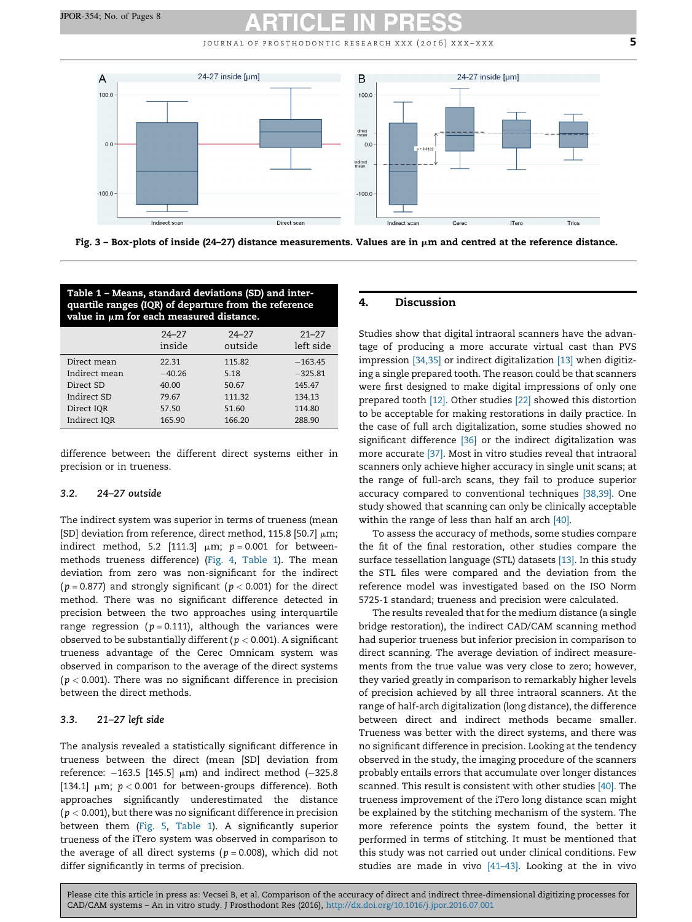JOURNAL OF PROSTHODONTIC RESEARCH XXX (2016) XXX-XXX  $\overline{5}$ 

<span id="page-4-0"></span>

Fig. 3 – Box-plots of inside (24–27) distance measurements. Values are in  $\mu$ m and centred at the reference distance.

| Table 1 – Means, standard deviations (SD) and inter-<br>quartile ranges (IQR) of departure from the reference<br>value in $\mu$ m for each measured distance. |                     |                      |                        |
|---------------------------------------------------------------------------------------------------------------------------------------------------------------|---------------------|----------------------|------------------------|
|                                                                                                                                                               | $24 - 27$<br>inside | $24 - 27$<br>outside | $21 - 27$<br>left side |
| Direct mean                                                                                                                                                   | 22.31               | 115.82               | $-163.45$              |
| Indirect mean                                                                                                                                                 | $-40.26$            | 5.18                 | $-325.81$              |
| Direct SD                                                                                                                                                     | 40.00               | 50.67                | 145.47                 |
| Indirect SD                                                                                                                                                   | 79.67               | 111.32               | 134.13                 |
| Direct IQR                                                                                                                                                    | 57.50               | 51.60                | 114.80                 |
| Indirect IOR                                                                                                                                                  | 165.90              | 166.20               | 288.90                 |

difference between the different direct systems either in precision or in trueness.

#### 3.2. 24–27 outside

The indirect system was superior in terms of trueness (mean [SD] deviation from reference, direct method, 115.8 [50.7]  $\mu$ m; indirect method, 5.2 [111.3]  $\mu$ m; p = 0.001 for betweenmethods trueness difference) ([Fig.](#page-5-0) 4, Table 1). The mean deviation from zero was non-significant for the indirect ( $p = 0.877$ ) and strongly significant ( $p < 0.001$ ) for the direct method. There was no significant difference detected in precision between the two approaches using interquartile range regression ( $p = 0.111$ ), although the variances were observed to be substantially different ( $p < 0.001$ ). A significant trueness advantage of the Cerec Omnicam system was observed in comparison to the average of the direct systems ( $p < 0.001$ ). There was no significant difference in precision between the direct methods.

### 3.3. 21–27 left side

The analysis revealed a statistically significant difference in trueness between the direct (mean [SD] deviation from reference: –163.5 [145.5] μm) and indirect method (–325.8 [134.1]  $\mu$ m;  $p < 0.001$  for between-groups difference). Both approaches significantly underestimated the distance  $(p < 0.001)$ , but there was no significant difference in precision between them ([Fig.](#page-5-0) 5, Table 1). A significantly superior trueness of the iTero system was observed in comparison to the average of all direct systems ( $p = 0.008$ ), which did not differ significantly in terms of precision.

#### 4. Discussion

Studies show that digital intraoral scanners have the advantage of producing a more accurate virtual cast than PVS impression [\[34,35\]](#page-7-0) or indirect digitalization [\[13\]](#page-6-0) when digitizing a single prepared tooth. The reason could be that scanners were first designed to make digital impressions of only one prepared tooth [\[12\].](#page-6-0) Other studies [\[22\]](#page-6-0) showed this distortion to be acceptable for making restorations in daily practice. In the case of full arch digitalization, some studies showed no significant difference [\[36\]](#page-7-0) or the indirect digitalization was more accurate [\[37\]](#page-7-0). Most in vitro studies reveal that intraoral scanners only achieve higher accuracy in single unit scans; at the range of full-arch scans, they fail to produce superior accuracy compared to conventional techniques [\[38,39\].](#page-7-0) One study showed that scanning can only be clinically acceptable within the range of less than half an arch [\[40\]](#page-7-0).

To assess the accuracy of methods, some studies compare the fit of the final restoration, other studies compare the surface tessellation language (STL) datasets [\[13\].](#page-6-0) In this study the STL files were compared and the deviation from the reference model was investigated based on the ISO Norm 5725-1 standard; trueness and precision were calculated.

The results revealed that for the medium distance (a single bridge restoration), the indirect CAD/CAM scanning method had superior trueness but inferior precision in comparison to direct scanning. The average deviation of indirect measurements from the true value was very close to zero; however, they varied greatly in comparison to remarkably higher levels of precision achieved by all three intraoral scanners. At the range of half-arch digitalization (long distance), the difference between direct and indirect methods became smaller. Trueness was better with the direct systems, and there was no significant difference in precision. Looking at the tendency observed in the study, the imaging procedure of the scanners probably entails errors that accumulate over longer distances scanned. This result is consistent with other studies [\[40\].](#page-7-0) The trueness improvement of the iTero long distance scan might be explained by the stitching mechanism of the system. The more reference points the system found, the better it performed in terms of stitching. It must be mentioned that this study was not carried out under clinical conditions. Few studies are made in vivo [\[41–43\]](#page-7-0). Looking at the in vivo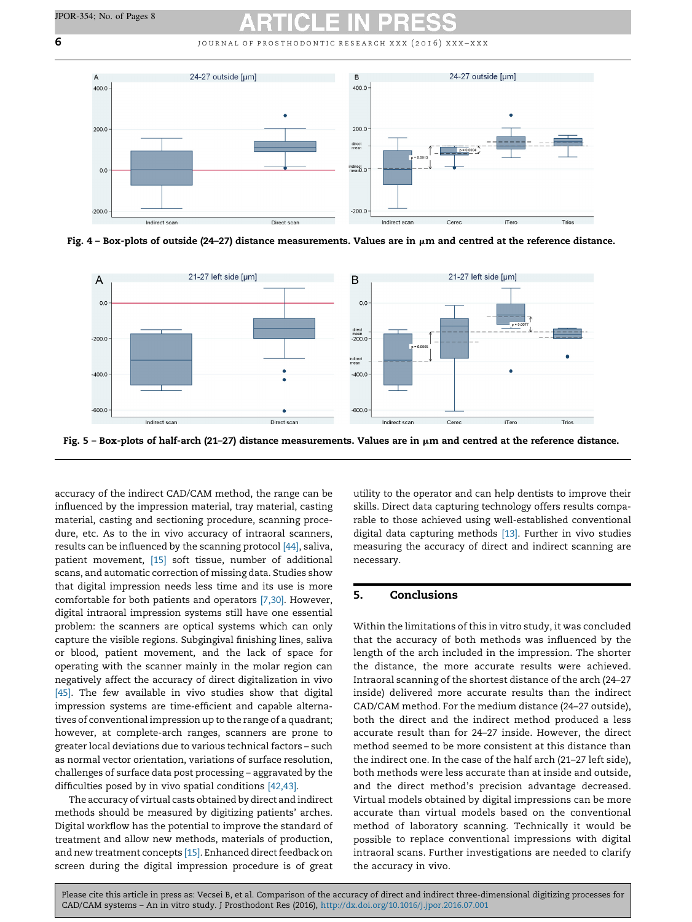<span id="page-5-0"></span> $\bf{6}$  **6 i b**  $\bf{6}$  is the set of pROSTHODONTIC RESEARCH XXX (2016) XXX-XXX



Fig.  $4$  – Box-plots of outside (24–27) distance measurements. Values are in  $\mu$ m and centred at the reference distance.



Fig. 5 - Box-plots of half-arch (21-27) distance measurements. Values are in  $\mu$ m and centred at the reference distance.

accuracy of the indirect CAD/CAM method, the range can be influenced by the impression material, tray material, casting material, casting and sectioning procedure, scanning procedure, etc. As to the in vivo accuracy of intraoral scanners, results can be influenced by the scanning protocol [\[44\]](#page-7-0), saliva, patient movement, [\[15\]](#page-6-0) soft tissue, number of additional scans, and automatic correction of missing data. Studies show that digital impression needs less time and its use is more comfortable for both patients and operators [\[7,30\]](#page-6-0). However, digital intraoral impression systems still have one essential problem: the scanners are optical systems which can only capture the visible regions. Subgingival finishing lines, saliva or blood, patient movement, and the lack of space for operating with the scanner mainly in the molar region can negatively affect the accuracy of direct digitalization in vivo [\[45\]](#page-7-0). The few available in vivo studies show that digital impression systems are time-efficient and capable alternatives of conventional impression up to the range of a quadrant; however, at complete-arch ranges, scanners are prone to greater local deviations due to various technical factors – such as normal vector orientation, variations of surface resolution, challenges of surface data post processing – aggravated by the difficulties posed by in vivo spatial conditions [\[42,43\]](#page-7-0).

The accuracy of virtual casts obtained by direct and indirect methods should be measured by digitizing patients' arches. Digital workflow has the potential to improve the standard of treatment and allow new methods, materials of production, and new treatment concepts [\[15\]](#page-6-0). Enhanced direct feedback on screen during the digital impression procedure is of great

utility to the operator and can help dentists to improve their skills. Direct data capturing technology offers results comparable to those achieved using well-established conventional digital data capturing methods [\[13\].](#page-6-0) Further in vivo studies measuring the accuracy of direct and indirect scanning are necessary.

## 5. Conclusions

Within the limitations of this in vitro study, it was concluded that the accuracy of both methods was influenced by the length of the arch included in the impression. The shorter the distance, the more accurate results were achieved. Intraoral scanning of the shortest distance of the arch (24–27 inside) delivered more accurate results than the indirect CAD/CAM method. For the medium distance (24–27 outside), both the direct and the indirect method produced a less accurate result than for 24–27 inside. However, the direct method seemed to be more consistent at this distance than the indirect one. In the case of the half arch (21–27 left side), both methods were less accurate than at inside and outside, and the direct method's precision advantage decreased. Virtual models obtained by digital impressions can be more accurate than virtual models based on the conventional method of laboratory scanning. Technically it would be possible to replace conventional impressions with digital intraoral scans. Further investigations are needed to clarify the accuracy in vivo.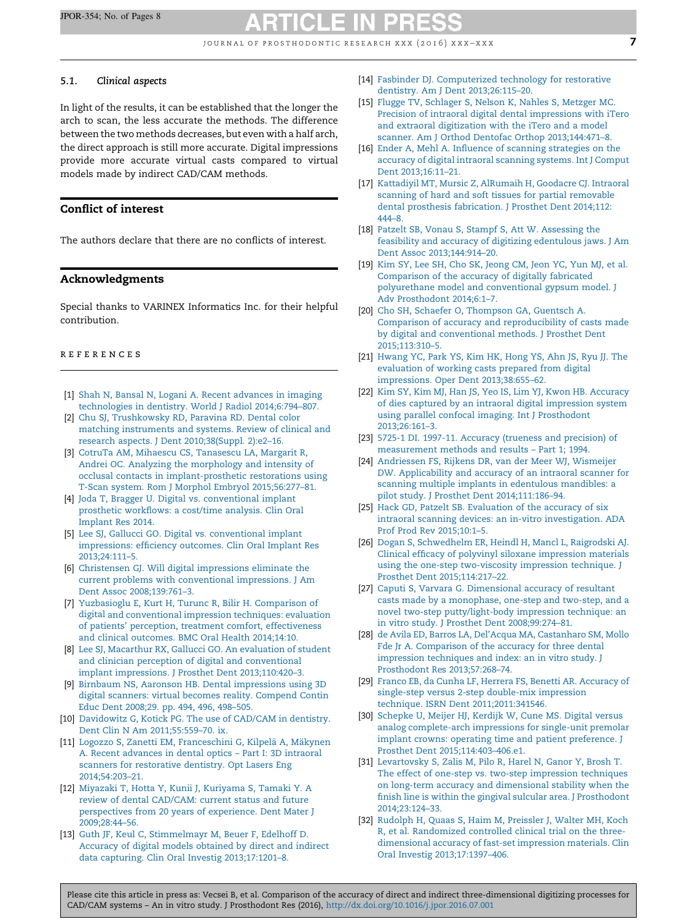JOURNAL OF PROSTHODONTIC RESEARCH XXX  $(2016)$  XXX-XXX

#### <span id="page-6-0"></span>5.1. Clinical aspects

In light of the results, it can be established that the longer the arch to scan, the less accurate the methods. The difference between the two methods decreases, but even with a half arch, the direct approach is still more accurate. Digital impressions provide more accurate virtual casts compared to virtual models made by indirect CAD/CAM methods.

### Conflict of interest

The authors declare that there are no conflicts of interest.

#### Acknowledgments

Special thanks to VARINEX Informatics Inc. for their helpful contribution.

#### r e f e r e n c e s

- [1] Shah N, Bansal N, Logani A. Recent [advances](http://refhub.elsevier.com/S1883-1958(16)30062-7/sbref0230) in imaging technologies in dentistry. World J Radiol [2014;6:794–807.](http://refhub.elsevier.com/S1883-1958(16)30062-7/sbref0230)
- [2] Chu SJ, [Trushkowsky](http://refhub.elsevier.com/S1883-1958(16)30062-7/sbref0235) RD, Paravina RD. Dental color matching [instruments](http://refhub.elsevier.com/S1883-1958(16)30062-7/sbref0235) and systems. Review of clinical and research aspects. J Dent [2010;38\(Suppl.](http://refhub.elsevier.com/S1883-1958(16)30062-7/sbref0235) 2):e2–16.
- [3] CotruTa AM, Mihaescu CS, [Tanasescu](http://refhub.elsevier.com/S1883-1958(16)30062-7/sbref0240) LA, Margarit R, Andrei OC. Analyzing the [morphology](http://refhub.elsevier.com/S1883-1958(16)30062-7/sbref0240) and intensity of occlusal contacts in [implant-prosthetic](http://refhub.elsevier.com/S1883-1958(16)30062-7/sbref0240) restorations using T-Scan system. Rom J Morphol Embryol [2015;56:277–81.](http://refhub.elsevier.com/S1883-1958(16)30062-7/sbref0240)
- [4] Joda T, Bragger U. Digital vs. [conventional](http://refhub.elsevier.com/S1883-1958(16)30062-7/sbref0245) implant prosthetic [workflows:](http://refhub.elsevier.com/S1883-1958(16)30062-7/sbref0245) a cost/time analysis. Clin Oral [Implant](http://refhub.elsevier.com/S1883-1958(16)30062-7/sbref0245) Res 2014.
- [5] Lee SJ, Gallucci GO. Digital vs. [conventional](http://refhub.elsevier.com/S1883-1958(16)30062-7/sbref0250) implant [impressions:](http://refhub.elsevier.com/S1883-1958(16)30062-7/sbref0250) efficiency outcomes. Clin Oral Implant Res [2013;24:111–5.](http://refhub.elsevier.com/S1883-1958(16)30062-7/sbref0250)
- [6] Christensen GJ. Will digital [impressions](http://refhub.elsevier.com/S1883-1958(16)30062-7/sbref0255) eliminate the current problems with [conventional](http://refhub.elsevier.com/S1883-1958(16)30062-7/sbref0255) impressions. J Am Dent Assoc [2008;139:761–3](http://refhub.elsevier.com/S1883-1958(16)30062-7/sbref0255).
- [7] Yuzbasioglu E, Kurt H, Turunc R, Bilir H. [Comparison](http://refhub.elsevier.com/S1883-1958(16)30062-7/sbref0260) of digital and [conventional](http://refhub.elsevier.com/S1883-1958(16)30062-7/sbref0260) impression techniques: evaluation of patients' perception, treatment comfort, [effectiveness](http://refhub.elsevier.com/S1883-1958(16)30062-7/sbref0260) and clinical [outcomes.](http://refhub.elsevier.com/S1883-1958(16)30062-7/sbref0260) BMC Oral Health 2014;14:10.
- [8] Lee SJ, Macarthur RX, Gallucci GO. An [evaluation](http://refhub.elsevier.com/S1883-1958(16)30062-7/sbref0265) of student and clinician perception of digital and [conventional](http://refhub.elsevier.com/S1883-1958(16)30062-7/sbref0265) implant impressions. J Prosthet Dent [2013;110:420–3](http://refhub.elsevier.com/S1883-1958(16)30062-7/sbref0265).
- [9] Birnbaum NS, Aaronson HB. Dental [impressions](http://refhub.elsevier.com/S1883-1958(16)30062-7/sbref0270) using 3D digital scanners: virtual becomes reality. [Compend](http://refhub.elsevier.com/S1883-1958(16)30062-7/sbref0270) Contin Educ Dent [2008;29.](http://refhub.elsevier.com/S1883-1958(16)30062-7/sbref0270) pp. 494, 496, 498–505.
- [10] [Davidowitz](http://refhub.elsevier.com/S1883-1958(16)30062-7/sbref0275) G, Kotick PG. The use of CAD/CAM in dentistry. Dent Clin N Am [2011;55:559–70.](http://refhub.elsevier.com/S1883-1958(16)30062-7/sbref0275) ix.
- [11] Logozzo S, Zanetti EM, [Franceschini](http://refhub.elsevier.com/S1883-1958(16)30062-7/sbref0280) G, Kilpelä A, Mäkynen A. Recent [advances](http://refhub.elsevier.com/S1883-1958(16)30062-7/sbref0280) in dental optics – Part I: 3D intraoral scanners for [restorative](http://refhub.elsevier.com/S1883-1958(16)30062-7/sbref0280) dentistry. Opt Lasers Eng [2014;54:203–21](http://refhub.elsevier.com/S1883-1958(16)30062-7/sbref0280).
- [12] Miyazaki T, Hotta Y, Kunii J, [Kuriyama](http://refhub.elsevier.com/S1883-1958(16)30062-7/sbref0285) S, Tamaki Y. A review of dental [CAD/CAM:](http://refhub.elsevier.com/S1883-1958(16)30062-7/sbref0285) current status and future [perspectives](http://refhub.elsevier.com/S1883-1958(16)30062-7/sbref0285) from 20 years of experience. Dent Mater J [2009;28:44–56](http://refhub.elsevier.com/S1883-1958(16)30062-7/sbref0285).
- [13] Guth JF, Keul C, [Stimmelmayr](http://refhub.elsevier.com/S1883-1958(16)30062-7/sbref0290) M, Beuer F, Edelhoff D. [Accuracy](http://refhub.elsevier.com/S1883-1958(16)30062-7/sbref0290) of digital models obtained by direct and indirect data capturing. Clin Oral Investig [2013;17:1201–8.](http://refhub.elsevier.com/S1883-1958(16)30062-7/sbref0290)
- [14] Fasbinder DJ. [Computerized](http://refhub.elsevier.com/S1883-1958(16)30062-7/sbref0295) technology for restorative dentistry. Am J Dent [2013;26:115–20.](http://refhub.elsevier.com/S1883-1958(16)30062-7/sbref0295)
- [15] Flugge TV, [Schlager](http://refhub.elsevier.com/S1883-1958(16)30062-7/sbref0300) S, Nelson K, Nahles S, Metzger MC. Precision of intraoral digital dental [impressions](http://refhub.elsevier.com/S1883-1958(16)30062-7/sbref0300) with iTero and extraoral [digitization](http://refhub.elsevier.com/S1883-1958(16)30062-7/sbref0300) with the iTero and a model scanner. Am J Orthod Dentofac Orthop [2013;144:471–8.](http://refhub.elsevier.com/S1883-1958(16)30062-7/sbref0300)
- [16] Ender A, Mehl A. Influence of scanning [strategies](http://refhub.elsevier.com/S1883-1958(16)30062-7/sbref0305) on the accuracy of digital intraoral [scanning](http://refhub.elsevier.com/S1883-1958(16)30062-7/sbref0305) systems. Int J Comput Dent [2013;16:11–21.](http://refhub.elsevier.com/S1883-1958(16)30062-7/sbref0305)
- [17] Kattadiyil MT, Mursic Z, [AlRumaih](http://refhub.elsevier.com/S1883-1958(16)30062-7/sbref0310) H, Goodacre CJ. Intraoral scanning of hard and soft tissues for partial [removable](http://refhub.elsevier.com/S1883-1958(16)30062-7/sbref0310) dental prosthesis [fabrication.](http://refhub.elsevier.com/S1883-1958(16)30062-7/sbref0310) J Prosthet Dent 2014;112: [444–8](http://refhub.elsevier.com/S1883-1958(16)30062-7/sbref0310).
- [18] Patzelt SB, Vonau S, Stampf S, Att W. [Assessing](http://refhub.elsevier.com/S1883-1958(16)30062-7/sbref0315) the feasibility and accuracy of digitizing [edentulous](http://refhub.elsevier.com/S1883-1958(16)30062-7/sbref0315) jaws. J Am Dent Assoc [2013;144:914–20.](http://refhub.elsevier.com/S1883-1958(16)30062-7/sbref0315)
- [19] Kim SY, Lee SH, Cho SK, [Jeong](http://refhub.elsevier.com/S1883-1958(16)30062-7/sbref0320) CM, Jeon YC, Yun MJ, et al. [Comparison](http://refhub.elsevier.com/S1883-1958(16)30062-7/sbref0320) of the accuracy of digitally fabricated [polyurethane](http://refhub.elsevier.com/S1883-1958(16)30062-7/sbref0320) model and conventional gypsum model. J Adv [Prosthodont](http://refhub.elsevier.com/S1883-1958(16)30062-7/sbref0320) 2014;6:1–7.
- [20] Cho SH, Schaefer O, [Thompson](http://refhub.elsevier.com/S1883-1958(16)30062-7/sbref0325) GA, Guentsch A. Comparison of accuracy and [reproducibility](http://refhub.elsevier.com/S1883-1958(16)30062-7/sbref0325) of casts made by digital and [conventional](http://refhub.elsevier.com/S1883-1958(16)30062-7/sbref0325) methods. J Prosthet Dent [2015;113:310–5.](http://refhub.elsevier.com/S1883-1958(16)30062-7/sbref0325)
- [21] [Hwang](http://refhub.elsevier.com/S1883-1958(16)30062-7/sbref0330) YC, Park YS, Kim HK, Hong YS, Ahn JS, Ryu JJ. The [evaluation](http://refhub.elsevier.com/S1883-1958(16)30062-7/sbref0330) of working casts prepared from digital impressions. Oper Dent [2013;38:655–62](http://refhub.elsevier.com/S1883-1958(16)30062-7/sbref0330).
- [22] Kim SY, Kim MJ, Han JS, Yeo IS, Lim YJ, Kwon HB. [Accuracy](http://refhub.elsevier.com/S1883-1958(16)30062-7/sbref0335) of dies captured by an intraoral digital [impression](http://refhub.elsevier.com/S1883-1958(16)30062-7/sbref0335) system using parallel confocal imaging. Int J [Prosthodont](http://refhub.elsevier.com/S1883-1958(16)30062-7/sbref0335) [2013;26:161–3](http://refhub.elsevier.com/S1883-1958(16)30062-7/sbref0335).
- [23] 5725-1 DI. 1997-11. Accuracy (trueness and [precision\)](http://refhub.elsevier.com/S1883-1958(16)30062-7/sbref0340) of [measurement](http://refhub.elsevier.com/S1883-1958(16)30062-7/sbref0340) methods and results – Part 1; 1994.
- [24] [Andriessen](http://refhub.elsevier.com/S1883-1958(16)30062-7/sbref0345) FS, Rijkens DR, van der Meer WJ, Wismeijer DW. [Applicability](http://refhub.elsevier.com/S1883-1958(16)30062-7/sbref0345) and accuracy of an intraoral scanner for scanning multiple implants in [edentulous](http://refhub.elsevier.com/S1883-1958(16)30062-7/sbref0345) mandibles: a pilot study. J Prosthet Dent [2014;111:186–94.](http://refhub.elsevier.com/S1883-1958(16)30062-7/sbref0345)
- [25] Hack GD, Patzelt SB. [Evaluation](http://refhub.elsevier.com/S1883-1958(16)30062-7/sbref0350) of the accuracy of six intraoral scanning devices: an in-vitro [investigation.](http://refhub.elsevier.com/S1883-1958(16)30062-7/sbref0350) ADA Prof Prod Rev [2015;10:1–5](http://refhub.elsevier.com/S1883-1958(16)30062-7/sbref0350).
- [26] Dogan S, [Schwedhelm](http://refhub.elsevier.com/S1883-1958(16)30062-7/sbref0355) ER, Heindl H, Mancl L, Raigrodski AJ. Clinical efficacy of polyvinyl siloxane [impression](http://refhub.elsevier.com/S1883-1958(16)30062-7/sbref0355) materials using the one-step [two-viscosity](http://refhub.elsevier.com/S1883-1958(16)30062-7/sbref0355) impression technique. J Prosthet Dent [2015;114:217–22.](http://refhub.elsevier.com/S1883-1958(16)30062-7/sbref0355)
- [27] Caputi S, Varvara G. [Dimensional](http://refhub.elsevier.com/S1883-1958(16)30062-7/sbref0360) accuracy of resultant casts made by a [monophase,](http://refhub.elsevier.com/S1883-1958(16)30062-7/sbref0360) one-step and two-step, and a novel two-step [putty/light-body](http://refhub.elsevier.com/S1883-1958(16)30062-7/sbref0360) impression technique: an in vitro study. J Prosthet Dent [2008;99:274–81.](http://refhub.elsevier.com/S1883-1958(16)30062-7/sbref0360)
- [28] de Avila ED, Barros LA, Del'Acqua MA, [Castanharo](http://refhub.elsevier.com/S1883-1958(16)30062-7/sbref0365) SM, [Mollo](http://refhub.elsevier.com/S1883-1958(16)30062-7/sbref0365) Fde Jr A. [Comparison](http://refhub.elsevier.com/S1883-1958(16)30062-7/sbref0365) of the accuracy for three dental [impression](http://refhub.elsevier.com/S1883-1958(16)30062-7/sbref0365) techniques and index: an in vitro study. J Prosthodont Res [2013;57:268–74](http://refhub.elsevier.com/S1883-1958(16)30062-7/sbref0365).
- [29] Franco EB, da Cunha LF, Herrera FS, Benetti AR. [Accuracy](http://refhub.elsevier.com/S1883-1958(16)30062-7/sbref0370) of single-step versus 2-step [double-mix](http://refhub.elsevier.com/S1883-1958(16)30062-7/sbref0370) impression technique. ISRN Dent [2011;2011:341546.](http://refhub.elsevier.com/S1883-1958(16)30062-7/sbref0370)
- [30] [Schepke](http://refhub.elsevier.com/S1883-1958(16)30062-7/sbref0375) U, Meijer HJ, Kerdijk W, Cune MS. Digital versus analog [complete-arch](http://refhub.elsevier.com/S1883-1958(16)30062-7/sbref0375) impressions for single-unit premolar implant crowns: operating time and patient [preference.](http://refhub.elsevier.com/S1883-1958(16)30062-7/sbref0375) J Prosthet Dent [2015;114:403–406.e1](http://refhub.elsevier.com/S1883-1958(16)30062-7/sbref0375).
- [31] [Levartovsky](http://refhub.elsevier.com/S1883-1958(16)30062-7/sbref0380) S, Zalis M, Pilo R, Harel N, Ganor Y, Brosh T. The effect of one-step vs. two-step [impression](http://refhub.elsevier.com/S1883-1958(16)30062-7/sbref0380) techniques on long-term accuracy and [dimensional](http://refhub.elsevier.com/S1883-1958(16)30062-7/sbref0380) stability when the finish line is within the gingival sulcular area. J [Prosthodont](http://refhub.elsevier.com/S1883-1958(16)30062-7/sbref0380) [2014;23:124–33.](http://refhub.elsevier.com/S1883-1958(16)30062-7/sbref0380)
- [32] Rudolph H, Quaas S, Haim M, [Preissler](http://refhub.elsevier.com/S1883-1958(16)30062-7/sbref0385) J, Walter MH, Koch R, et al. [Randomized](http://refhub.elsevier.com/S1883-1958(16)30062-7/sbref0385) controlled clinical trial on the three[dimensional](http://refhub.elsevier.com/S1883-1958(16)30062-7/sbref0385) accuracy of fast-set impression materials. Clin Oral Investig [2013;17:1397–406](http://refhub.elsevier.com/S1883-1958(16)30062-7/sbref0385).